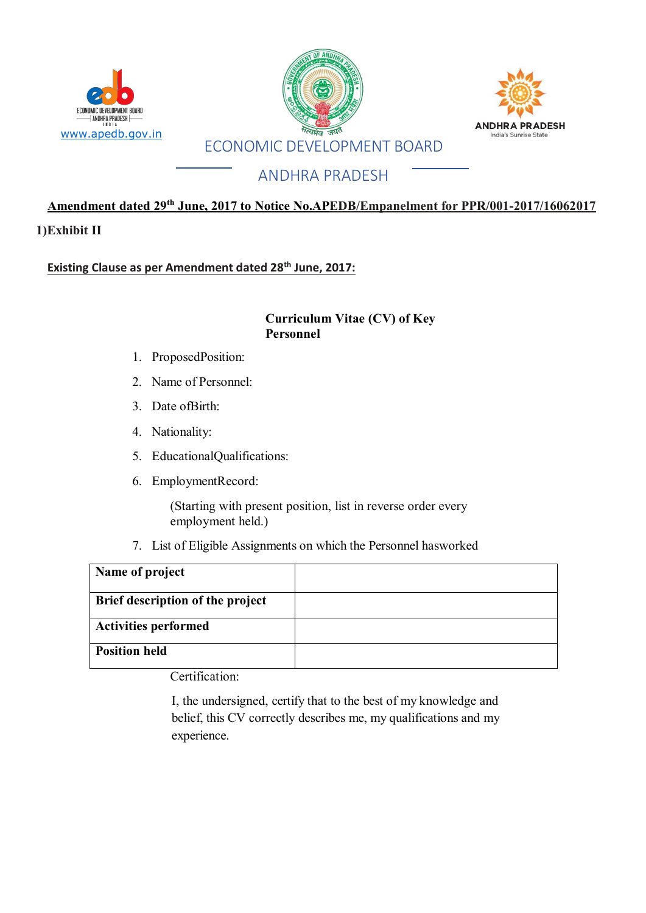





## ANDHRA PRADESH

## **Amendment dated 29th June, 2017 to Notice No.APEDB/Empanelment for PPR/001-2017/16062017**

#### **1)Exhibit II**

## **Existing Clause as per Amendment dated 28th June, 2017:**

#### **Curriculum Vitae (CV) of Key Personnel**

- 1. ProposedPosition:
- 2. Name of Personnel:
- 3. Date ofBirth:
- 4. Nationality:
- 5. EducationalQualifications:
- 6. EmploymentRecord:

(Starting with present position, list in reverse order every employment held.)

7. List of Eligible Assignments on which the Personnel hasworked

| Name of project                  |  |
|----------------------------------|--|
| Brief description of the project |  |
| <b>Activities performed</b>      |  |
| <b>Position held</b>             |  |

Certification:

I, the undersigned, certify that to the best of my knowledge and belief, this CV correctly describes me, my qualifications and my experience.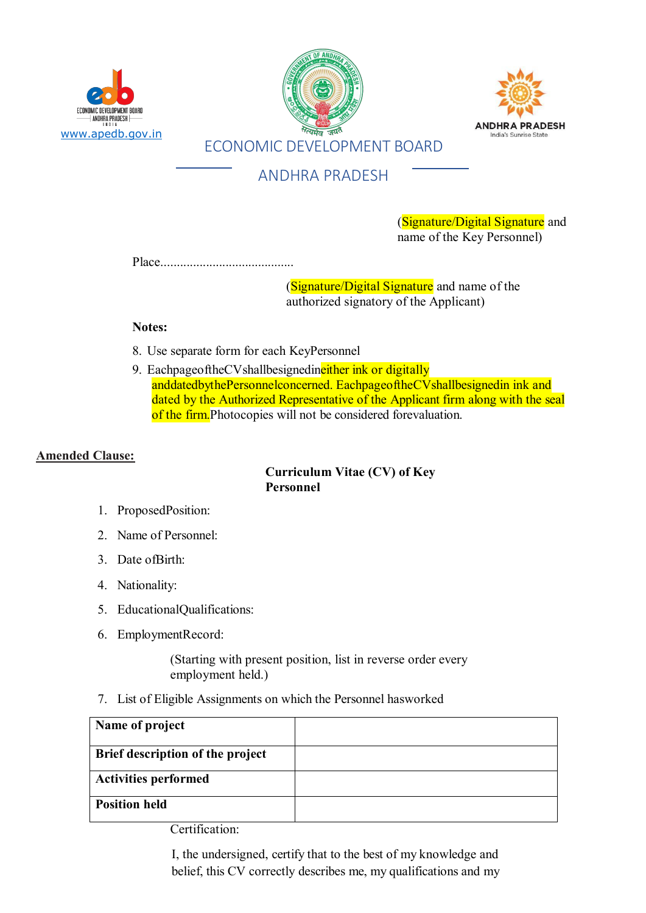

# ANDHRA PRADESH

(Signature/Digital Signature and name of the Key Personnel)

Place.........................................

(Signature/Digital Signature and name of the authorized signatory of the Applicant)

#### **Notes:**

- 8. Use separate form for each KeyPersonnel
- 9. EachpageoftheCVshallbesignedineither ink or digitally anddatedbythePersonnelconcerned. EachpageoftheCVshallbesignedin ink and dated by the Authorized Representative of the Applicant firm along with the seal of the firm. Photocopies will not be considered forevaluation.

## **Amended Clause:**

**Curriculum Vitae (CV) of Key Personnel**

- 1. ProposedPosition:
- 2. Name of Personnel:
- 3. Date ofBirth:
- 4. Nationality:
- 5. EducationalQualifications:
- 6. EmploymentRecord:

(Starting with present position, list in reverse order every employment held.)

7. List of Eligible Assignments on which the Personnel hasworked

| Name of project                  |  |
|----------------------------------|--|
| Brief description of the project |  |
| <b>Activities performed</b>      |  |
| <b>Position held</b>             |  |

Certification:

I, the undersigned, certify that to the best of my knowledge and belief, this CV correctly describes me, my qualifications and my